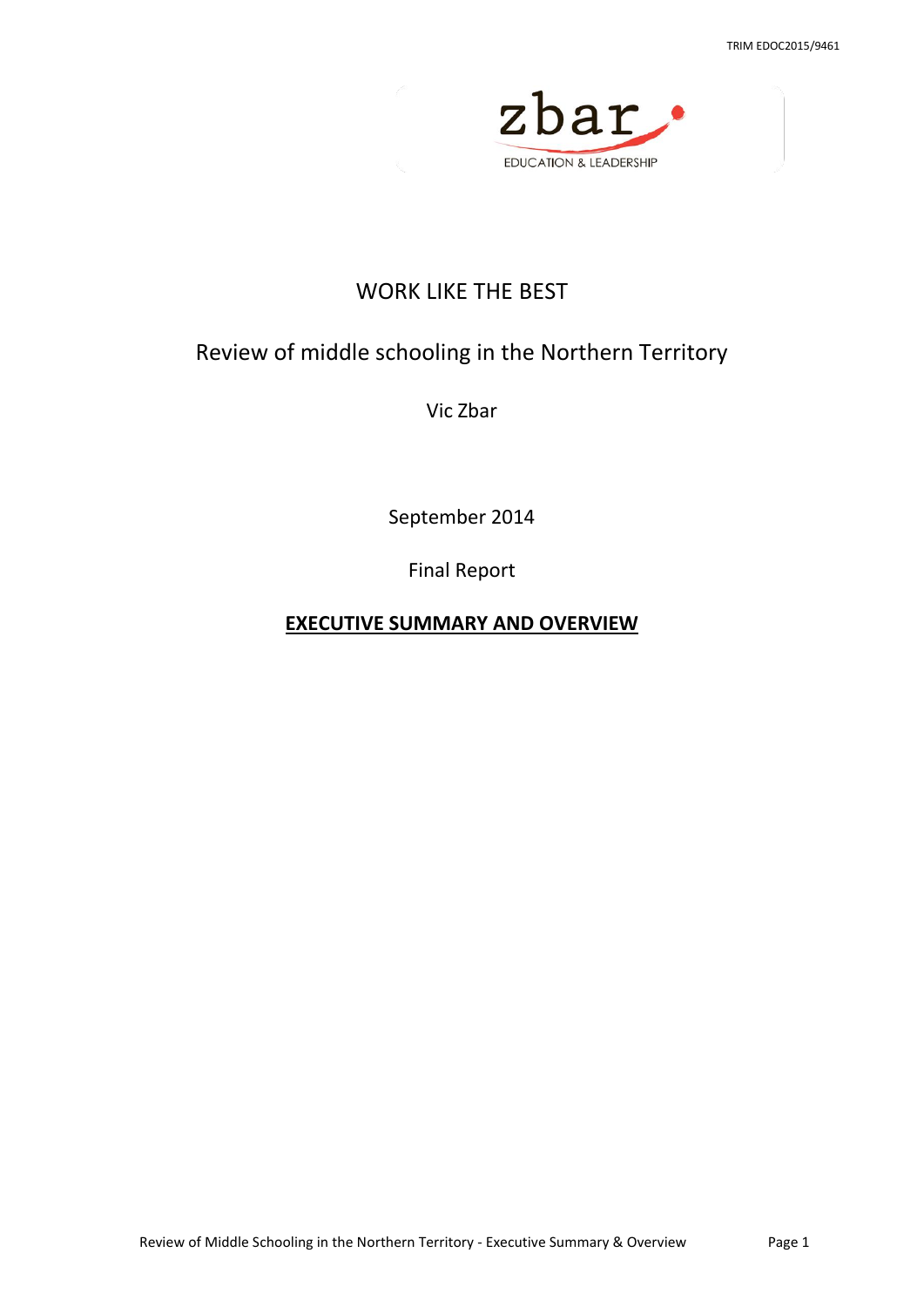

# WORK LIKE THE BEST

# Review of middle schooling in the Northern Territory

Vic Zbar

September 2014

Final Report

**EXECUTIVE SUMMARY AND OVERVIEW**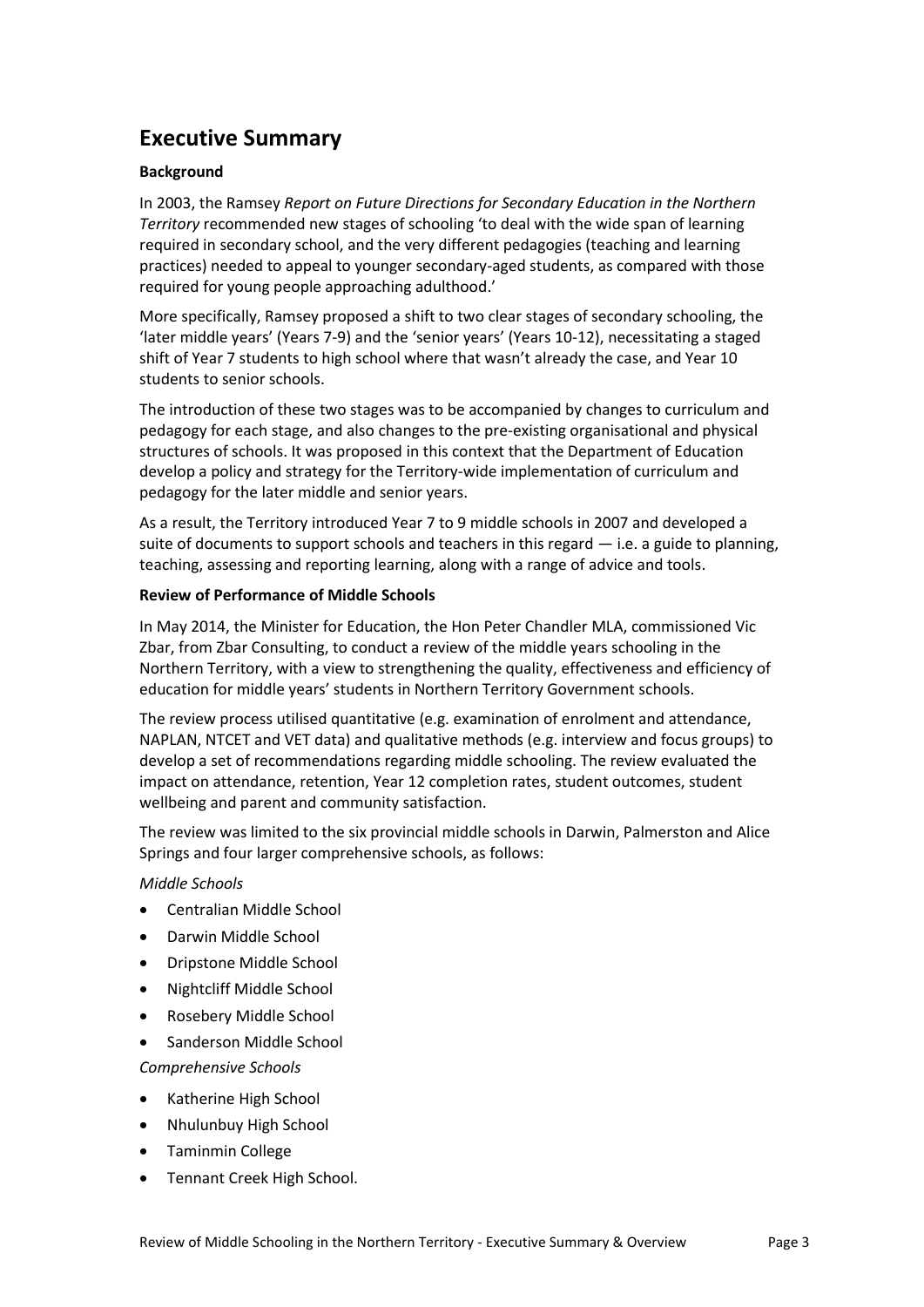# **Executive Summary**

#### **Background**

In 2003, the Ramsey *Report on Future Directions for Secondary Education in the Northern Territory* recommended new stages of schooling 'to deal with the wide span of learning required in secondary school, and the very different pedagogies (teaching and learning practices) needed to appeal to younger secondary-aged students, as compared with those required for young people approaching adulthood.'

More specifically, Ramsey proposed a shift to two clear stages of secondary schooling, the 'later middle years' (Years 7-9) and the 'senior years' (Years 10-12), necessitating a staged shift of Year 7 students to high school where that wasn't already the case, and Year 10 students to senior schools.

The introduction of these two stages was to be accompanied by changes to curriculum and pedagogy for each stage, and also changes to the pre-existing organisational and physical structures of schools. It was proposed in this context that the Department of Education develop a policy and strategy for the Territory-wide implementation of curriculum and pedagogy for the later middle and senior years.

As a result, the Territory introduced Year 7 to 9 middle schools in 2007 and developed a suite of documents to support schools and teachers in this regard  $-$  i.e. a guide to planning, teaching, assessing and reporting learning, along with a range of advice and tools.

#### **Review of Performance of Middle Schools**

In May 2014, the Minister for Education, the Hon Peter Chandler MLA, commissioned Vic Zbar, from Zbar Consulting, to conduct a review of the middle years schooling in the Northern Territory, with a view to strengthening the quality, effectiveness and efficiency of education for middle years' students in Northern Territory Government schools.

The review process utilised quantitative (e.g. examination of enrolment and attendance, NAPLAN, NTCET and VET data) and qualitative methods (e.g. interview and focus groups) to develop a set of recommendations regarding middle schooling. The review evaluated the impact on attendance, retention, Year 12 completion rates, student outcomes, student wellbeing and parent and community satisfaction.

The review was limited to the six provincial middle schools in Darwin, Palmerston and Alice Springs and four larger comprehensive schools, as follows:

*Middle Schools*

- Centralian Middle School
- Darwin Middle School
- Dripstone Middle School
- Nightcliff Middle School
- Rosebery Middle School
- Sanderson Middle School

*Comprehensive Schools*

- Katherine High School
- Nhulunbuy High School
- Taminmin College
- Tennant Creek High School.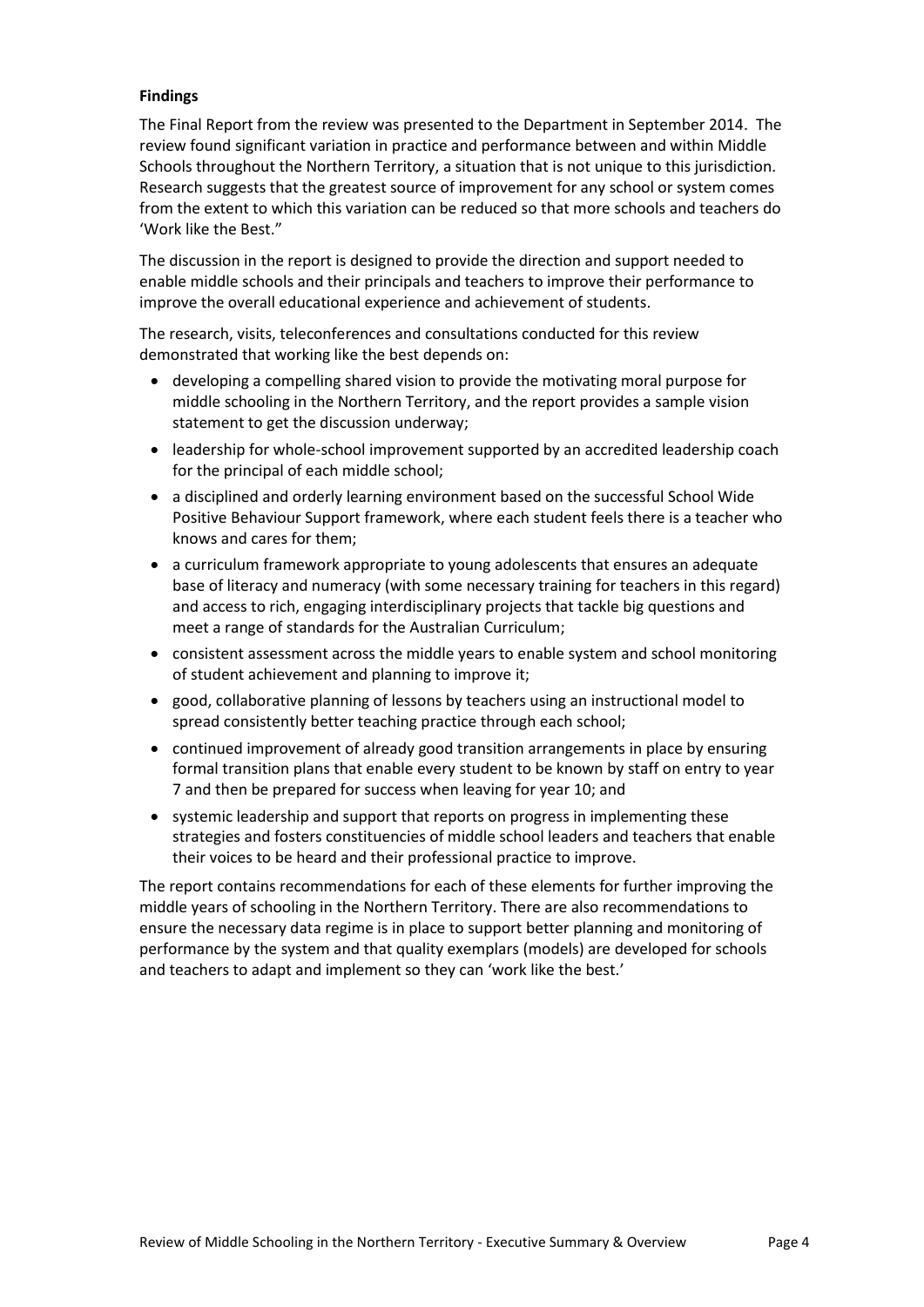#### **Findings**

The Final Report from the review was presented to the Department in September 2014. The review found significant variation in practice and performance between and within Middle Schools throughout the Northern Territory, a situation that is not unique to this jurisdiction. Research suggests that the greatest source of improvement for any school or system comes from the extent to which this variation can be reduced so that more schools and teachers do 'Work like the Best."

The discussion in the report is designed to provide the direction and support needed to enable middle schools and their principals and teachers to improve their performance to improve the overall educational experience and achievement of students.

The research, visits, teleconferences and consultations conducted for this review demonstrated that working like the best depends on:

- developing a compelling shared vision to provide the motivating moral purpose for middle schooling in the Northern Territory, and the report provides a sample vision statement to get the discussion underway;
- leadership for whole-school improvement supported by an accredited leadership coach for the principal of each middle school;
- a disciplined and orderly learning environment based on the successful School Wide Positive Behaviour Support framework, where each student feels there is a teacher who knows and cares for them;
- a curriculum framework appropriate to young adolescents that ensures an adequate base of literacy and numeracy (with some necessary training for teachers in this regard) and access to rich, engaging interdisciplinary projects that tackle big questions and meet a range of standards for the Australian Curriculum;
- consistent assessment across the middle years to enable system and school monitoring of student achievement and planning to improve it;
- good, collaborative planning of lessons by teachers using an instructional model to spread consistently better teaching practice through each school;
- continued improvement of already good transition arrangements in place by ensuring formal transition plans that enable every student to be known by staff on entry to year 7 and then be prepared for success when leaving for year 10; and
- systemic leadership and support that reports on progress in implementing these strategies and fosters constituencies of middle school leaders and teachers that enable their voices to be heard and their professional practice to improve.

The report contains recommendations for each of these elements for further improving the middle years of schooling in the Northern Territory. There are also recommendations to ensure the necessary data regime is in place to support better planning and monitoring of performance by the system and that quality exemplars (models) are developed for schools and teachers to adapt and implement so they can 'work like the best.'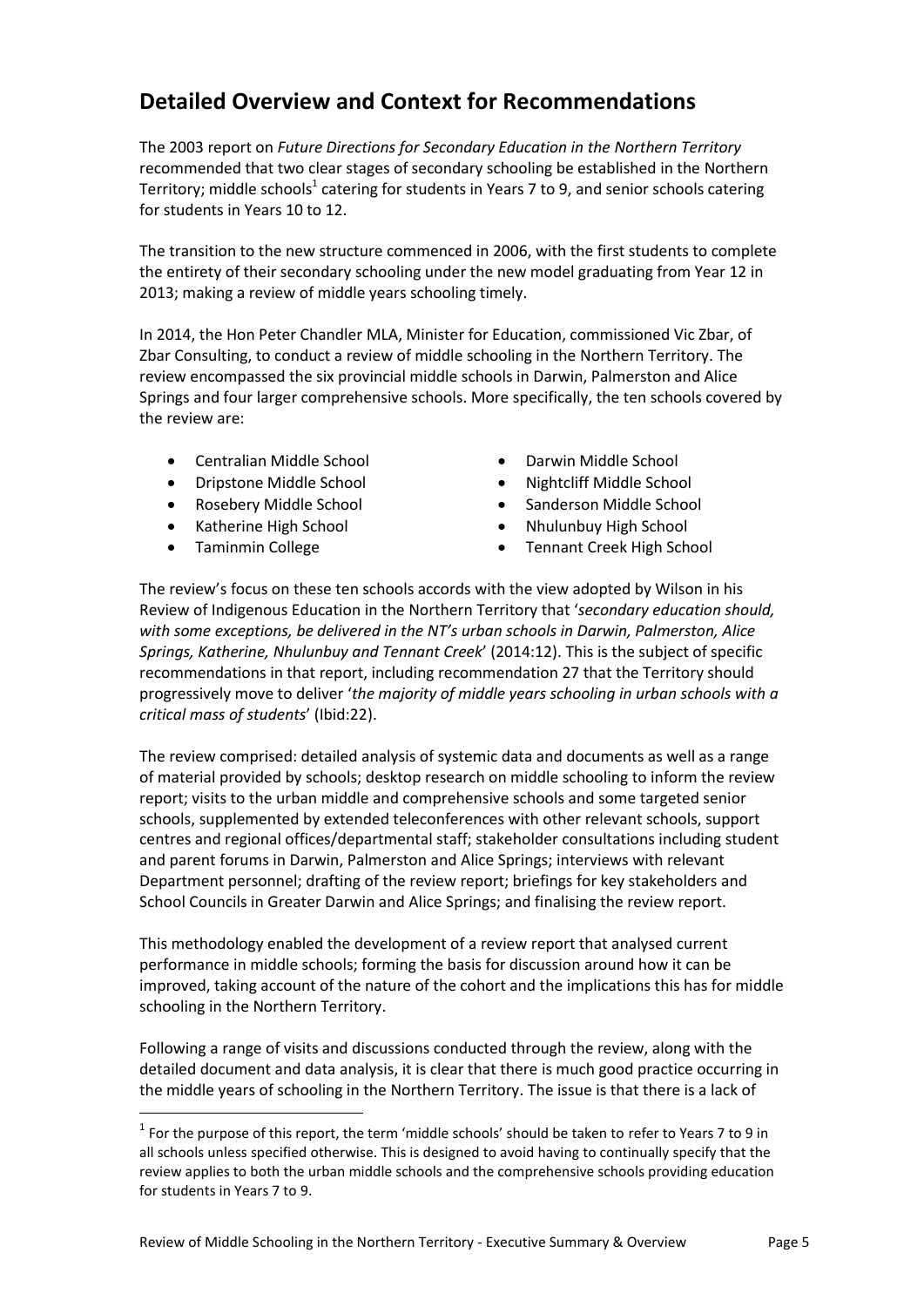# **Detailed Overview and Context for Recommendations**

The 2003 report on *Future Directions for Secondary Education in the Northern Territory* recommended that two clear stages of secondary schooling be established in the Northern Territory; middle schools $^1$  catering for students in Years 7 to 9, and senior schools catering for students in Years 10 to 12.

The transition to the new structure commenced in 2006, with the first students to complete the entirety of their secondary schooling under the new model graduating from Year 12 in 2013; making a review of middle years schooling timely.

In 2014, the Hon Peter Chandler MLA, Minister for Education, commissioned Vic Zbar, of Zbar Consulting, to conduct a review of middle schooling in the Northern Territory. The review encompassed the six provincial middle schools in Darwin, Palmerston and Alice Springs and four larger comprehensive schools. More specifically, the ten schools covered by the review are:

- Centralian Middle School Darwin Middle School
- Dripstone Middle School Nightcliff Middle School
- 
- 
- 

 $\ddot{\phantom{a}}$ 

- 
- 
- Rosebery Middle School Sanderson Middle School
	- Katherine High School **Calculary Contract Contract Contract Contract Contract Contract Contract Contract Contract Contract Contract Contract Contract Contract Contract Contract Contract Contract Contract Contract Contract**
- Taminmin College **Taming College Tennant Creek High School**

The review's focus on these ten schools accords with the view adopted by Wilson in his Review of Indigenous Education in the Northern Territory that '*secondary education should, with some exceptions, be delivered in the NT's urban schools in Darwin, Palmerston, Alice Springs, Katherine, Nhulunbuy and Tennant Creek*' (2014:12). This is the subject of specific recommendations in that report, including recommendation 27 that the Territory should progressively move to deliver '*the majority of middle years schooling in urban schools with a critical mass of students*' (Ibid:22).

The review comprised: detailed analysis of systemic data and documents as well as a range of material provided by schools; desktop research on middle schooling to inform the review report; visits to the urban middle and comprehensive schools and some targeted senior schools, supplemented by extended teleconferences with other relevant schools, support centres and regional offices/departmental staff; stakeholder consultations including student and parent forums in Darwin, Palmerston and Alice Springs; interviews with relevant Department personnel; drafting of the review report; briefings for key stakeholders and School Councils in Greater Darwin and Alice Springs; and finalising the review report.

This methodology enabled the development of a review report that analysed current performance in middle schools; forming the basis for discussion around how it can be improved, taking account of the nature of the cohort and the implications this has for middle schooling in the Northern Territory.

Following a range of visits and discussions conducted through the review, along with the detailed document and data analysis, it is clear that there is much good practice occurring in the middle years of schooling in the Northern Territory. The issue is that there is a lack of

 $<sup>1</sup>$  For the purpose of this report, the term 'middle schools' should be taken to refer to Years 7 to 9 in</sup> all schools unless specified otherwise. This is designed to avoid having to continually specify that the review applies to both the urban middle schools and the comprehensive schools providing education for students in Years 7 to 9.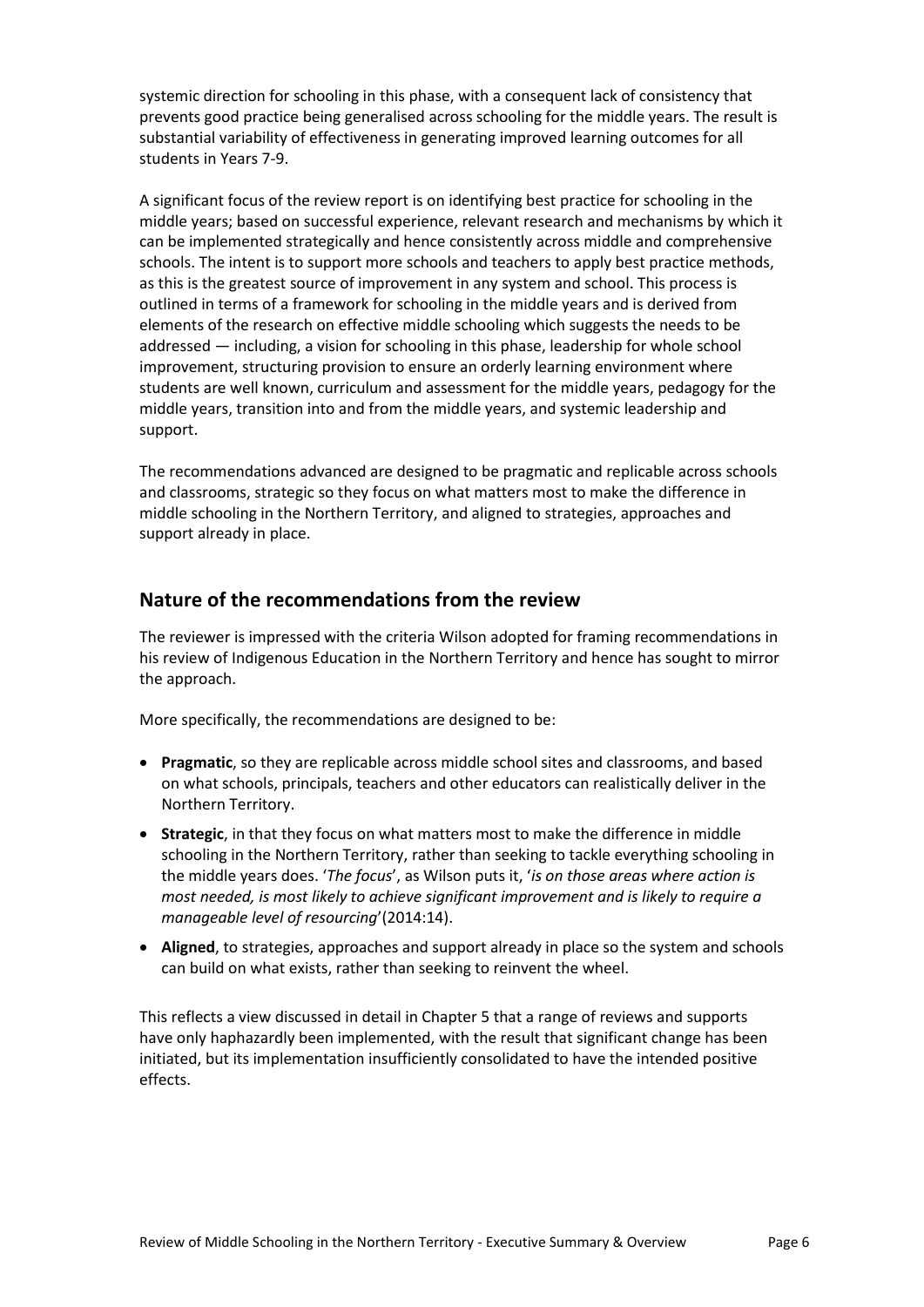systemic direction for schooling in this phase, with a consequent lack of consistency that prevents good practice being generalised across schooling for the middle years. The result is substantial variability of effectiveness in generating improved learning outcomes for all students in Years 7-9.

A significant focus of the review report is on identifying best practice for schooling in the middle years; based on successful experience, relevant research and mechanisms by which it can be implemented strategically and hence consistently across middle and comprehensive schools. The intent is to support more schools and teachers to apply best practice methods, as this is the greatest source of improvement in any system and school. This process is outlined in terms of a framework for schooling in the middle years and is derived from elements of the research on effective middle schooling which suggests the needs to be addressed — including, a vision for schooling in this phase, leadership for whole school improvement, structuring provision to ensure an orderly learning environment where students are well known, curriculum and assessment for the middle years, pedagogy for the middle years, transition into and from the middle years, and systemic leadership and support.

The recommendations advanced are designed to be pragmatic and replicable across schools and classrooms, strategic so they focus on what matters most to make the difference in middle schooling in the Northern Territory, and aligned to strategies, approaches and support already in place.

## **Nature of the recommendations from the review**

The reviewer is impressed with the criteria Wilson adopted for framing recommendations in his review of Indigenous Education in the Northern Territory and hence has sought to mirror the approach.

More specifically, the recommendations are designed to be:

- **Pragmatic**, so they are replicable across middle school sites and classrooms, and based on what schools, principals, teachers and other educators can realistically deliver in the Northern Territory.
- **Strategic**, in that they focus on what matters most to make the difference in middle schooling in the Northern Territory, rather than seeking to tackle everything schooling in the middle years does. '*The focus*', as Wilson puts it, '*is on those areas where action is most needed, is most likely to achieve significant improvement and is likely to require a manageable level of resourcing*'(2014:14).
- **Aligned**, to strategies, approaches and support already in place so the system and schools can build on what exists, rather than seeking to reinvent the wheel.

This reflects a view discussed in detail in Chapter 5 that a range of reviews and supports have only haphazardly been implemented, with the result that significant change has been initiated, but its implementation insufficiently consolidated to have the intended positive effects.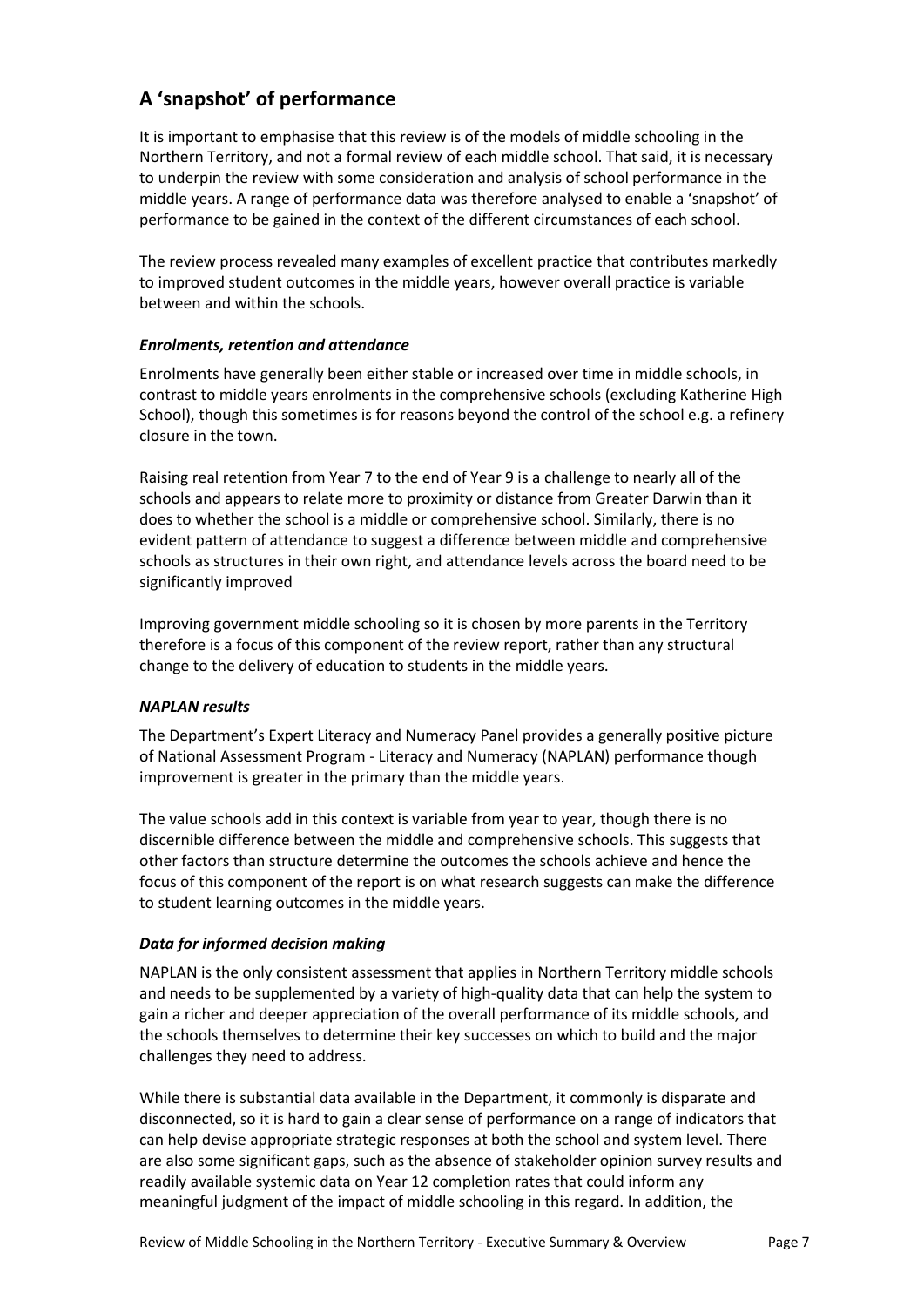# **A 'snapshot' of performance**

It is important to emphasise that this review is of the models of middle schooling in the Northern Territory, and not a formal review of each middle school. That said, it is necessary to underpin the review with some consideration and analysis of school performance in the middle years. A range of performance data was therefore analysed to enable a 'snapshot' of performance to be gained in the context of the different circumstances of each school.

The review process revealed many examples of excellent practice that contributes markedly to improved student outcomes in the middle years, however overall practice is variable between and within the schools.

### *Enrolments, retention and attendance*

Enrolments have generally been either stable or increased over time in middle schools, in contrast to middle years enrolments in the comprehensive schools (excluding Katherine High School), though this sometimes is for reasons beyond the control of the school e.g. a refinery closure in the town.

Raising real retention from Year 7 to the end of Year 9 is a challenge to nearly all of the schools and appears to relate more to proximity or distance from Greater Darwin than it does to whether the school is a middle or comprehensive school. Similarly, there is no evident pattern of attendance to suggest a difference between middle and comprehensive schools as structures in their own right, and attendance levels across the board need to be significantly improved

Improving government middle schooling so it is chosen by more parents in the Territory therefore is a focus of this component of the review report, rather than any structural change to the delivery of education to students in the middle years.

### *NAPLAN results*

The Department's Expert Literacy and Numeracy Panel provides a generally positive picture of National Assessment Program - Literacy and Numeracy (NAPLAN) performance though improvement is greater in the primary than the middle years.

The value schools add in this context is variable from year to year, though there is no discernible difference between the middle and comprehensive schools. This suggests that other factors than structure determine the outcomes the schools achieve and hence the focus of this component of the report is on what research suggests can make the difference to student learning outcomes in the middle years.

### *Data for informed decision making*

NAPLAN is the only consistent assessment that applies in Northern Territory middle schools and needs to be supplemented by a variety of high-quality data that can help the system to gain a richer and deeper appreciation of the overall performance of its middle schools, and the schools themselves to determine their key successes on which to build and the major challenges they need to address.

While there is substantial data available in the Department, it commonly is disparate and disconnected, so it is hard to gain a clear sense of performance on a range of indicators that can help devise appropriate strategic responses at both the school and system level. There are also some significant gaps, such as the absence of stakeholder opinion survey results and readily available systemic data on Year 12 completion rates that could inform any meaningful judgment of the impact of middle schooling in this regard. In addition, the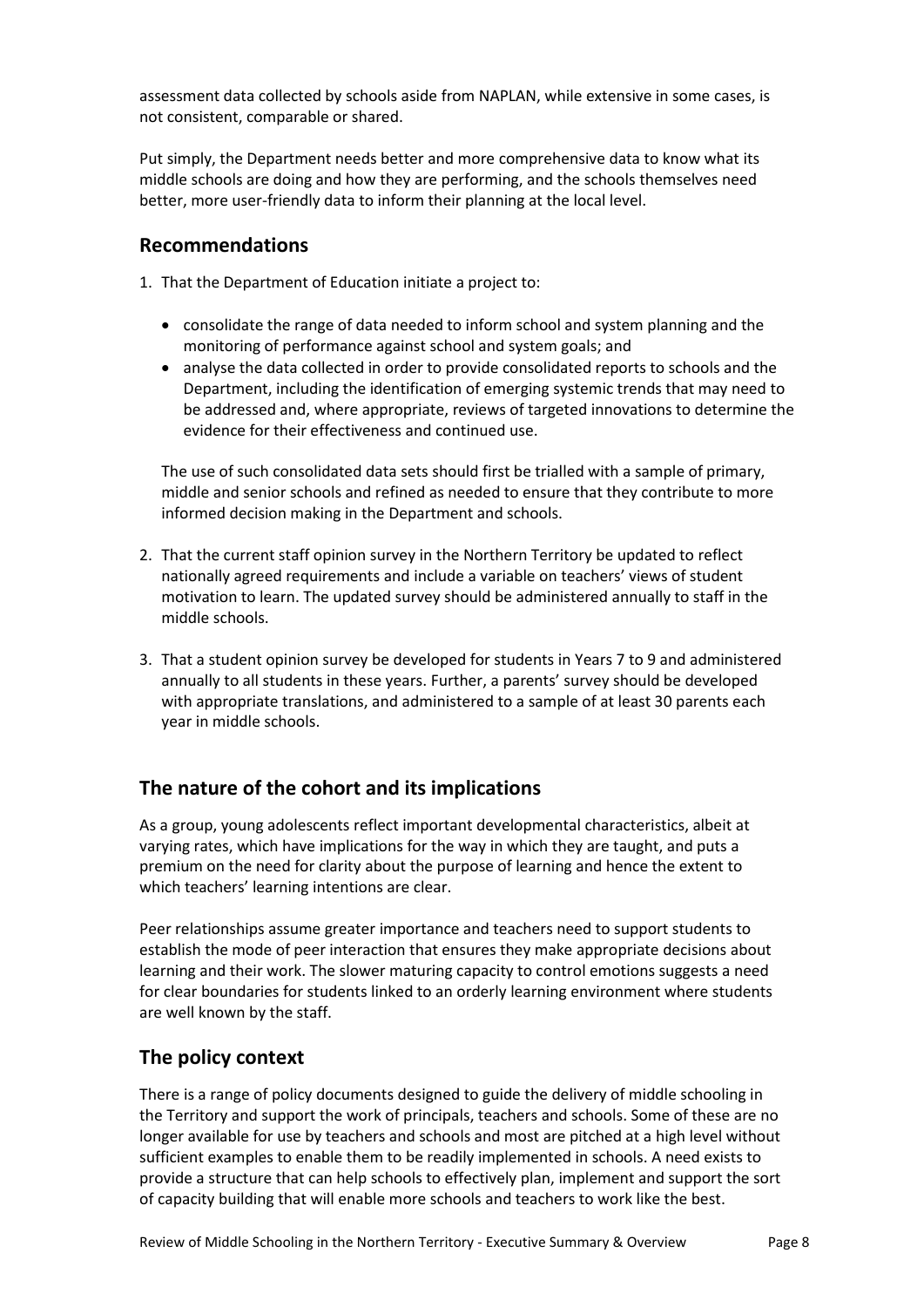assessment data collected by schools aside from NAPLAN, while extensive in some cases, is not consistent, comparable or shared.

Put simply, the Department needs better and more comprehensive data to know what its middle schools are doing and how they are performing, and the schools themselves need better, more user-friendly data to inform their planning at the local level.

### **Recommendations**

- 1. That the Department of Education initiate a project to:
	- consolidate the range of data needed to inform school and system planning and the monitoring of performance against school and system goals; and
	- analyse the data collected in order to provide consolidated reports to schools and the Department, including the identification of emerging systemic trends that may need to be addressed and, where appropriate, reviews of targeted innovations to determine the evidence for their effectiveness and continued use.

The use of such consolidated data sets should first be trialled with a sample of primary, middle and senior schools and refined as needed to ensure that they contribute to more informed decision making in the Department and schools.

- 2. That the current staff opinion survey in the Northern Territory be updated to reflect nationally agreed requirements and include a variable on teachers' views of student motivation to learn. The updated survey should be administered annually to staff in the middle schools.
- 3. That a student opinion survey be developed for students in Years 7 to 9 and administered annually to all students in these years. Further, a parents' survey should be developed with appropriate translations, and administered to a sample of at least 30 parents each year in middle schools.

## **The nature of the cohort and its implications**

As a group, young adolescents reflect important developmental characteristics, albeit at varying rates, which have implications for the way in which they are taught, and puts a premium on the need for clarity about the purpose of learning and hence the extent to which teachers' learning intentions are clear.

Peer relationships assume greater importance and teachers need to support students to establish the mode of peer interaction that ensures they make appropriate decisions about learning and their work. The slower maturing capacity to control emotions suggests a need for clear boundaries for students linked to an orderly learning environment where students are well known by the staff.

## **The policy context**

There is a range of policy documents designed to guide the delivery of middle schooling in the Territory and support the work of principals, teachers and schools. Some of these are no longer available for use by teachers and schools and most are pitched at a high level without sufficient examples to enable them to be readily implemented in schools. A need exists to provide a structure that can help schools to effectively plan, implement and support the sort of capacity building that will enable more schools and teachers to work like the best.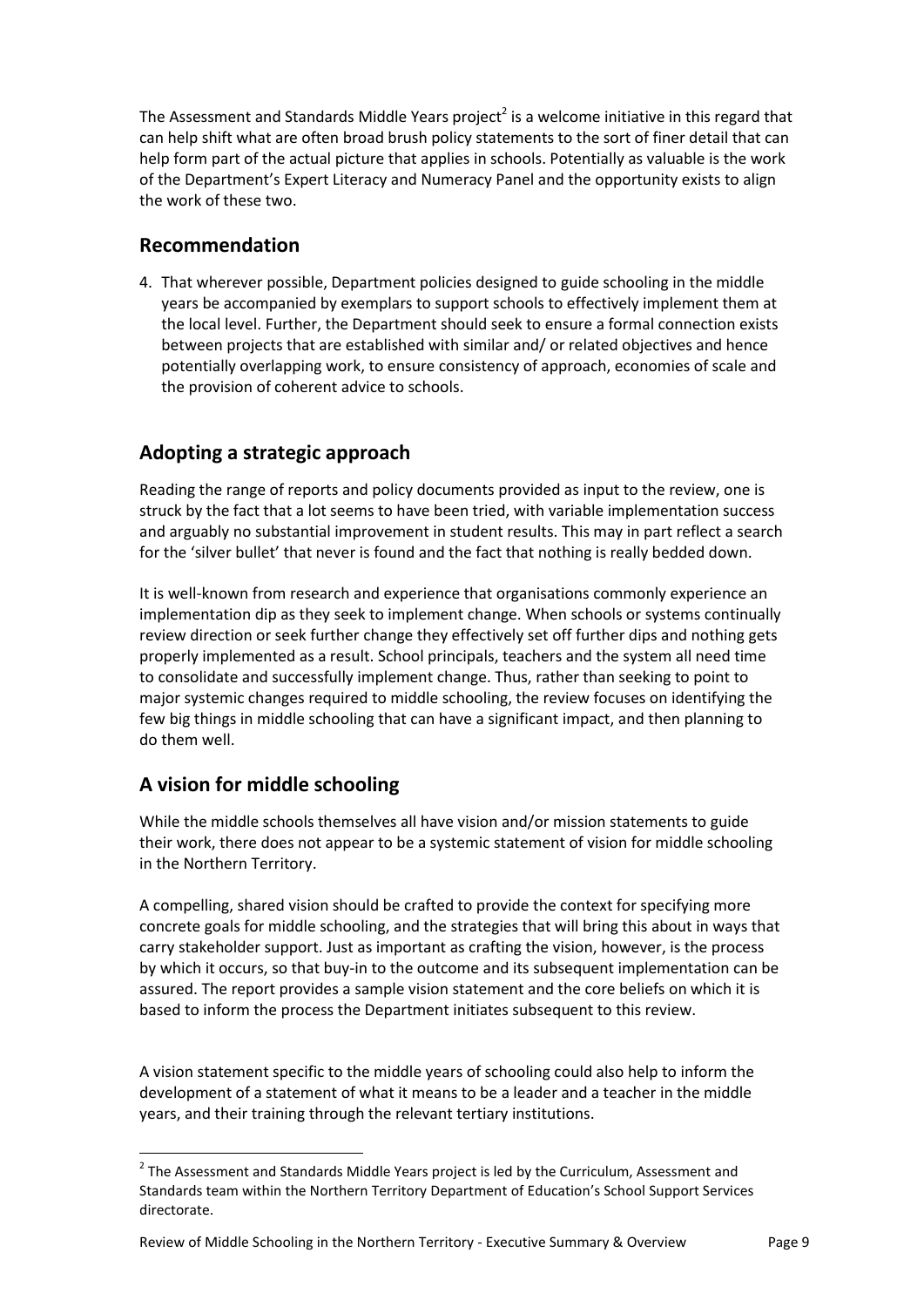The Assessment and Standards Middle Years project<sup>2</sup> is a welcome initiative in this regard that can help shift what are often broad brush policy statements to the sort of finer detail that can help form part of the actual picture that applies in schools. Potentially as valuable is the work of the Department's Expert Literacy and Numeracy Panel and the opportunity exists to align the work of these two.

### **Recommendation**

4. That wherever possible, Department policies designed to guide schooling in the middle years be accompanied by exemplars to support schools to effectively implement them at the local level. Further, the Department should seek to ensure a formal connection exists between projects that are established with similar and/ or related objectives and hence potentially overlapping work, to ensure consistency of approach, economies of scale and the provision of coherent advice to schools.

# **Adopting a strategic approach**

Reading the range of reports and policy documents provided as input to the review, one is struck by the fact that a lot seems to have been tried, with variable implementation success and arguably no substantial improvement in student results. This may in part reflect a search for the 'silver bullet' that never is found and the fact that nothing is really bedded down.

It is well-known from research and experience that organisations commonly experience an implementation dip as they seek to implement change. When schools or systems continually review direction or seek further change they effectively set off further dips and nothing gets properly implemented as a result. School principals, teachers and the system all need time to consolidate and successfully implement change. Thus, rather than seeking to point to major systemic changes required to middle schooling, the review focuses on identifying the few big things in middle schooling that can have a significant impact, and then planning to do them well.

## **A vision for middle schooling**

 $\overline{a}$ 

While the middle schools themselves all have vision and/or mission statements to guide their work, there does not appear to be a systemic statement of vision for middle schooling in the Northern Territory.

A compelling, shared vision should be crafted to provide the context for specifying more concrete goals for middle schooling, and the strategies that will bring this about in ways that carry stakeholder support. Just as important as crafting the vision, however, is the process by which it occurs, so that buy-in to the outcome and its subsequent implementation can be assured. The report provides a sample vision statement and the core beliefs on which it is based to inform the process the Department initiates subsequent to this review.

A vision statement specific to the middle years of schooling could also help to inform the development of a statement of what it means to be a leader and a teacher in the middle years, and their training through the relevant tertiary institutions.

 $2$  The Assessment and Standards Middle Years project is led by the Curriculum, Assessment and Standards team within the Northern Territory Department of Education's School Support Services directorate.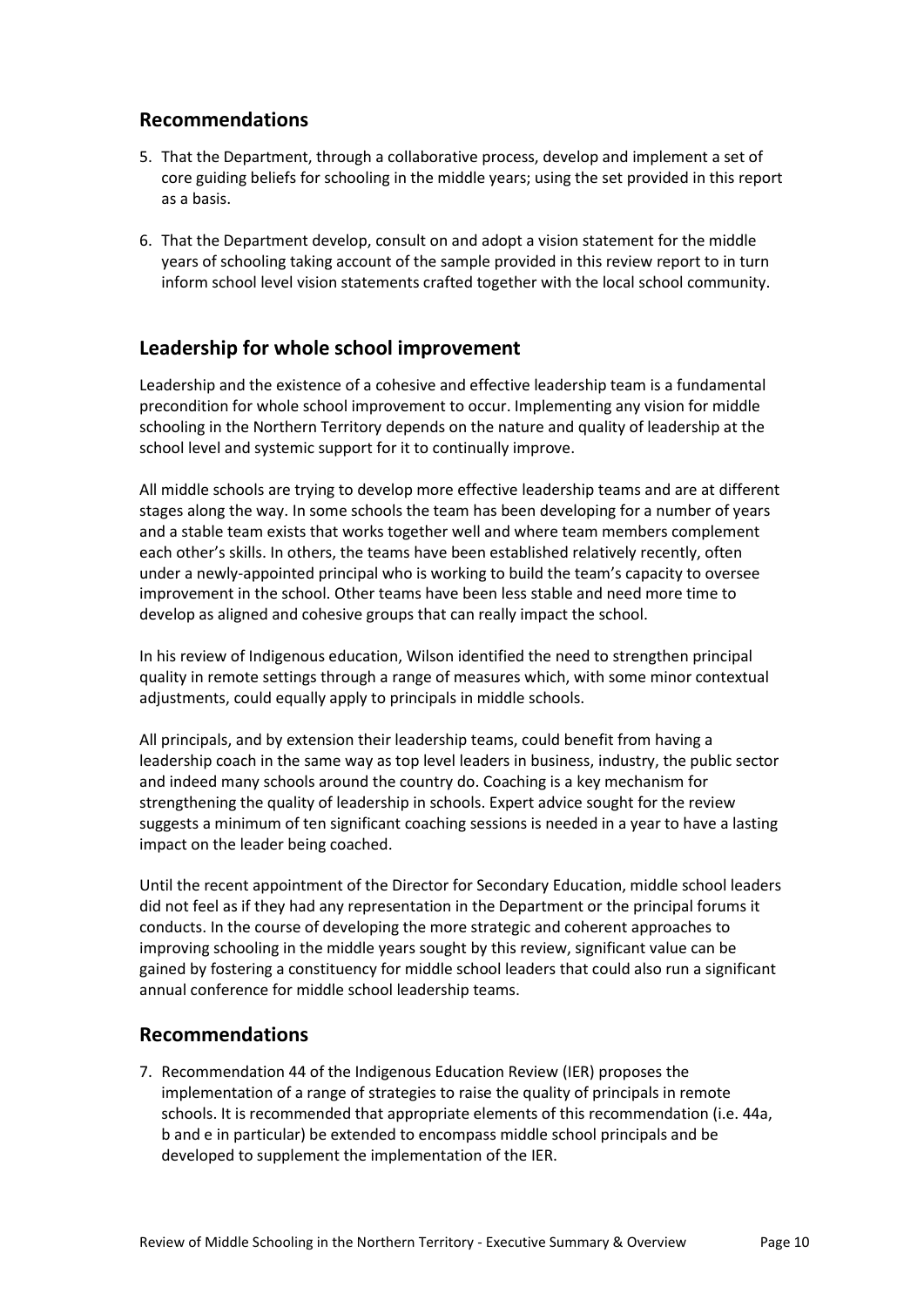## **Recommendations**

- 5. That the Department, through a collaborative process, develop and implement a set of core guiding beliefs for schooling in the middle years; using the set provided in this report as a basis.
- 6. That the Department develop, consult on and adopt a vision statement for the middle years of schooling taking account of the sample provided in this review report to in turn inform school level vision statements crafted together with the local school community.

## **Leadership for whole school improvement**

Leadership and the existence of a cohesive and effective leadership team is a fundamental precondition for whole school improvement to occur. Implementing any vision for middle schooling in the Northern Territory depends on the nature and quality of leadership at the school level and systemic support for it to continually improve.

All middle schools are trying to develop more effective leadership teams and are at different stages along the way. In some schools the team has been developing for a number of years and a stable team exists that works together well and where team members complement each other's skills. In others, the teams have been established relatively recently, often under a newly-appointed principal who is working to build the team's capacity to oversee improvement in the school. Other teams have been less stable and need more time to develop as aligned and cohesive groups that can really impact the school.

In his review of Indigenous education, Wilson identified the need to strengthen principal quality in remote settings through a range of measures which, with some minor contextual adjustments, could equally apply to principals in middle schools.

All principals, and by extension their leadership teams, could benefit from having a leadership coach in the same way as top level leaders in business, industry, the public sector and indeed many schools around the country do. Coaching is a key mechanism for strengthening the quality of leadership in schools. Expert advice sought for the review suggests a minimum of ten significant coaching sessions is needed in a year to have a lasting impact on the leader being coached.

Until the recent appointment of the Director for Secondary Education, middle school leaders did not feel as if they had any representation in the Department or the principal forums it conducts. In the course of developing the more strategic and coherent approaches to improving schooling in the middle years sought by this review, significant value can be gained by fostering a constituency for middle school leaders that could also run a significant annual conference for middle school leadership teams.

### **Recommendations**

7. Recommendation 44 of the Indigenous Education Review (IER) proposes the implementation of a range of strategies to raise the quality of principals in remote schools. It is recommended that appropriate elements of this recommendation (i.e. 44a, b and e in particular) be extended to encompass middle school principals and be developed to supplement the implementation of the IER.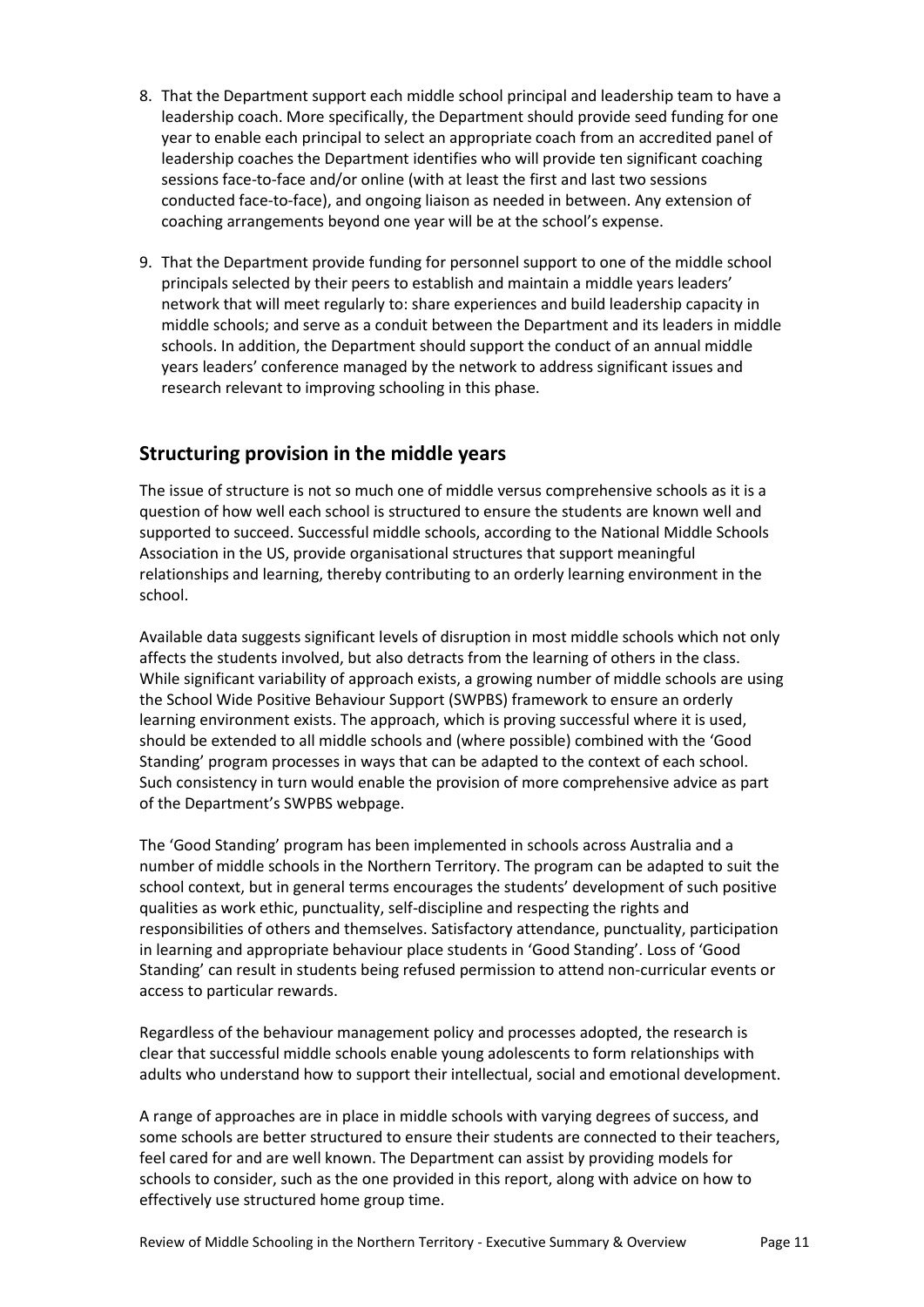- 8. That the Department support each middle school principal and leadership team to have a leadership coach. More specifically, the Department should provide seed funding for one year to enable each principal to select an appropriate coach from an accredited panel of leadership coaches the Department identifies who will provide ten significant coaching sessions face-to-face and/or online (with at least the first and last two sessions conducted face-to-face), and ongoing liaison as needed in between. Any extension of coaching arrangements beyond one year will be at the school's expense.
- 9. That the Department provide funding for personnel support to one of the middle school principals selected by their peers to establish and maintain a middle years leaders' network that will meet regularly to: share experiences and build leadership capacity in middle schools; and serve as a conduit between the Department and its leaders in middle schools. In addition, the Department should support the conduct of an annual middle years leaders' conference managed by the network to address significant issues and research relevant to improving schooling in this phase.

# **Structuring provision in the middle years**

The issue of structure is not so much one of middle versus comprehensive schools as it is a question of how well each school is structured to ensure the students are known well and supported to succeed. Successful middle schools, according to the National Middle Schools Association in the US, provide organisational structures that support meaningful relationships and learning, thereby contributing to an orderly learning environment in the school.

Available data suggests significant levels of disruption in most middle schools which not only affects the students involved, but also detracts from the learning of others in the class. While significant variability of approach exists, a growing number of middle schools are using the School Wide Positive Behaviour Support (SWPBS) framework to ensure an orderly learning environment exists. The approach, which is proving successful where it is used, should be extended to all middle schools and (where possible) combined with the 'Good Standing' program processes in ways that can be adapted to the context of each school. Such consistency in turn would enable the provision of more comprehensive advice as part of the Department's SWPBS webpage.

The 'Good Standing' program has been implemented in schools across Australia and a number of middle schools in the Northern Territory. The program can be adapted to suit the school context, but in general terms encourages the students' development of such positive qualities as work ethic, punctuality, self-discipline and respecting the rights and responsibilities of others and themselves. Satisfactory attendance, punctuality, participation in learning and appropriate behaviour place students in 'Good Standing'. Loss of 'Good Standing' can result in students being refused permission to attend non-curricular events or access to particular rewards.

Regardless of the behaviour management policy and processes adopted, the research is clear that successful middle schools enable young adolescents to form relationships with adults who understand how to support their intellectual, social and emotional development.

A range of approaches are in place in middle schools with varying degrees of success, and some schools are better structured to ensure their students are connected to their teachers, feel cared for and are well known. The Department can assist by providing models for schools to consider, such as the one provided in this report, along with advice on how to effectively use structured home group time.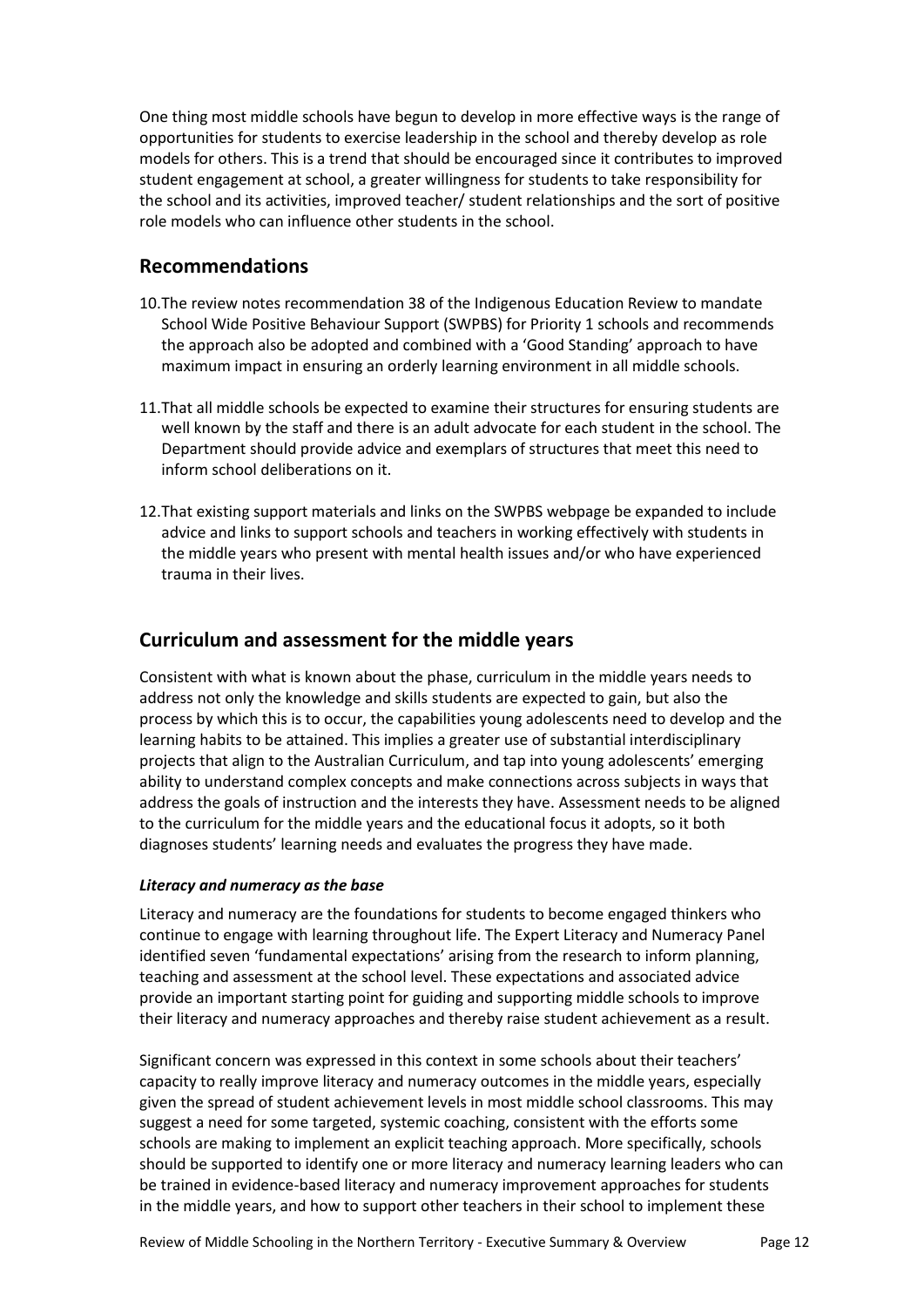One thing most middle schools have begun to develop in more effective ways is the range of opportunities for students to exercise leadership in the school and thereby develop as role models for others. This is a trend that should be encouraged since it contributes to improved student engagement at school, a greater willingness for students to take responsibility for the school and its activities, improved teacher/ student relationships and the sort of positive role models who can influence other students in the school.

### **Recommendations**

- 10.The review notes recommendation 38 of the Indigenous Education Review to mandate School Wide Positive Behaviour Support (SWPBS) for Priority 1 schools and recommends the approach also be adopted and combined with a 'Good Standing' approach to have maximum impact in ensuring an orderly learning environment in all middle schools.
- 11.That all middle schools be expected to examine their structures for ensuring students are well known by the staff and there is an adult advocate for each student in the school. The Department should provide advice and exemplars of structures that meet this need to inform school deliberations on it.
- 12.That existing support materials and links on the SWPBS webpage be expanded to include advice and links to support schools and teachers in working effectively with students in the middle years who present with mental health issues and/or who have experienced trauma in their lives.

# **Curriculum and assessment for the middle years**

Consistent with what is known about the phase, curriculum in the middle years needs to address not only the knowledge and skills students are expected to gain, but also the process by which this is to occur, the capabilities young adolescents need to develop and the learning habits to be attained. This implies a greater use of substantial interdisciplinary projects that align to the Australian Curriculum, and tap into young adolescents' emerging ability to understand complex concepts and make connections across subjects in ways that address the goals of instruction and the interests they have. Assessment needs to be aligned to the curriculum for the middle years and the educational focus it adopts, so it both diagnoses students' learning needs and evaluates the progress they have made.

### *Literacy and numeracy as the base*

Literacy and numeracy are the foundations for students to become engaged thinkers who continue to engage with learning throughout life. The Expert Literacy and Numeracy Panel identified seven 'fundamental expectations' arising from the research to inform planning, teaching and assessment at the school level. These expectations and associated advice provide an important starting point for guiding and supporting middle schools to improve their literacy and numeracy approaches and thereby raise student achievement as a result.

Significant concern was expressed in this context in some schools about their teachers' capacity to really improve literacy and numeracy outcomes in the middle years, especially given the spread of student achievement levels in most middle school classrooms. This may suggest a need for some targeted, systemic coaching, consistent with the efforts some schools are making to implement an explicit teaching approach. More specifically, schools should be supported to identify one or more literacy and numeracy learning leaders who can be trained in evidence-based literacy and numeracy improvement approaches for students in the middle years, and how to support other teachers in their school to implement these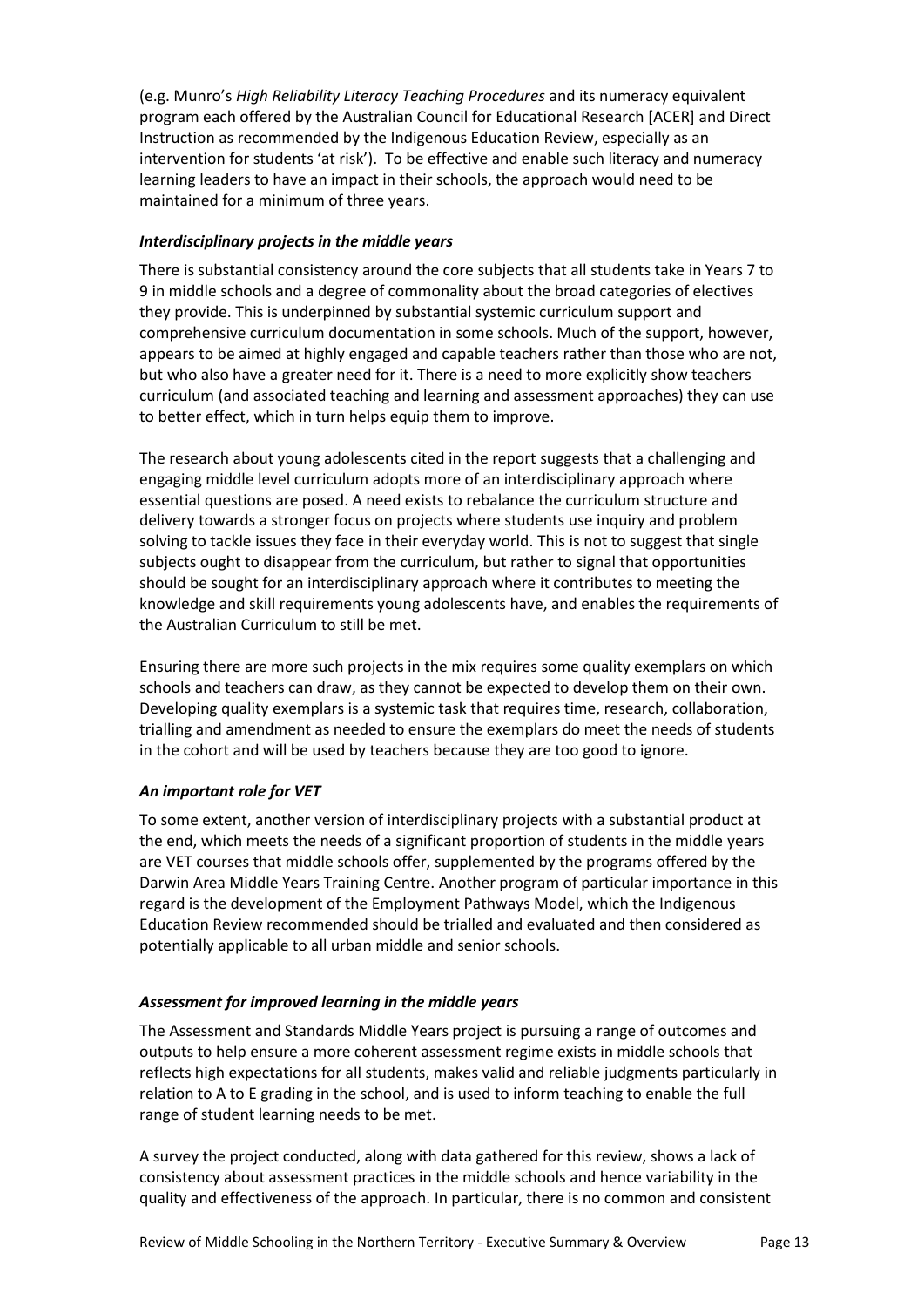(e.g. Munro's *High Reliability Literacy Teaching Procedures* and its numeracy equivalent program each offered by the Australian Council for Educational Research [ACER] and Direct Instruction as recommended by the Indigenous Education Review, especially as an intervention for students 'at risk'). To be effective and enable such literacy and numeracy learning leaders to have an impact in their schools, the approach would need to be maintained for a minimum of three years.

#### *Interdisciplinary projects in the middle years*

There is substantial consistency around the core subjects that all students take in Years 7 to 9 in middle schools and a degree of commonality about the broad categories of electives they provide. This is underpinned by substantial systemic curriculum support and comprehensive curriculum documentation in some schools. Much of the support, however, appears to be aimed at highly engaged and capable teachers rather than those who are not, but who also have a greater need for it. There is a need to more explicitly show teachers curriculum (and associated teaching and learning and assessment approaches) they can use to better effect, which in turn helps equip them to improve.

The research about young adolescents cited in the report suggests that a challenging and engaging middle level curriculum adopts more of an interdisciplinary approach where essential questions are posed. A need exists to rebalance the curriculum structure and delivery towards a stronger focus on projects where students use inquiry and problem solving to tackle issues they face in their everyday world. This is not to suggest that single subjects ought to disappear from the curriculum, but rather to signal that opportunities should be sought for an interdisciplinary approach where it contributes to meeting the knowledge and skill requirements young adolescents have, and enables the requirements of the Australian Curriculum to still be met.

Ensuring there are more such projects in the mix requires some quality exemplars on which schools and teachers can draw, as they cannot be expected to develop them on their own. Developing quality exemplars is a systemic task that requires time, research, collaboration, trialling and amendment as needed to ensure the exemplars do meet the needs of students in the cohort and will be used by teachers because they are too good to ignore.

### *An important role for VET*

To some extent, another version of interdisciplinary projects with a substantial product at the end, which meets the needs of a significant proportion of students in the middle years are VET courses that middle schools offer, supplemented by the programs offered by the Darwin Area Middle Years Training Centre. Another program of particular importance in this regard is the development of the Employment Pathways Model, which the Indigenous Education Review recommended should be trialled and evaluated and then considered as potentially applicable to all urban middle and senior schools.

#### *Assessment for improved learning in the middle years*

The Assessment and Standards Middle Years project is pursuing a range of outcomes and outputs to help ensure a more coherent assessment regime exists in middle schools that reflects high expectations for all students, makes valid and reliable judgments particularly in relation to A to E grading in the school, and is used to inform teaching to enable the full range of student learning needs to be met.

A survey the project conducted, along with data gathered for this review, shows a lack of consistency about assessment practices in the middle schools and hence variability in the quality and effectiveness of the approach. In particular, there is no common and consistent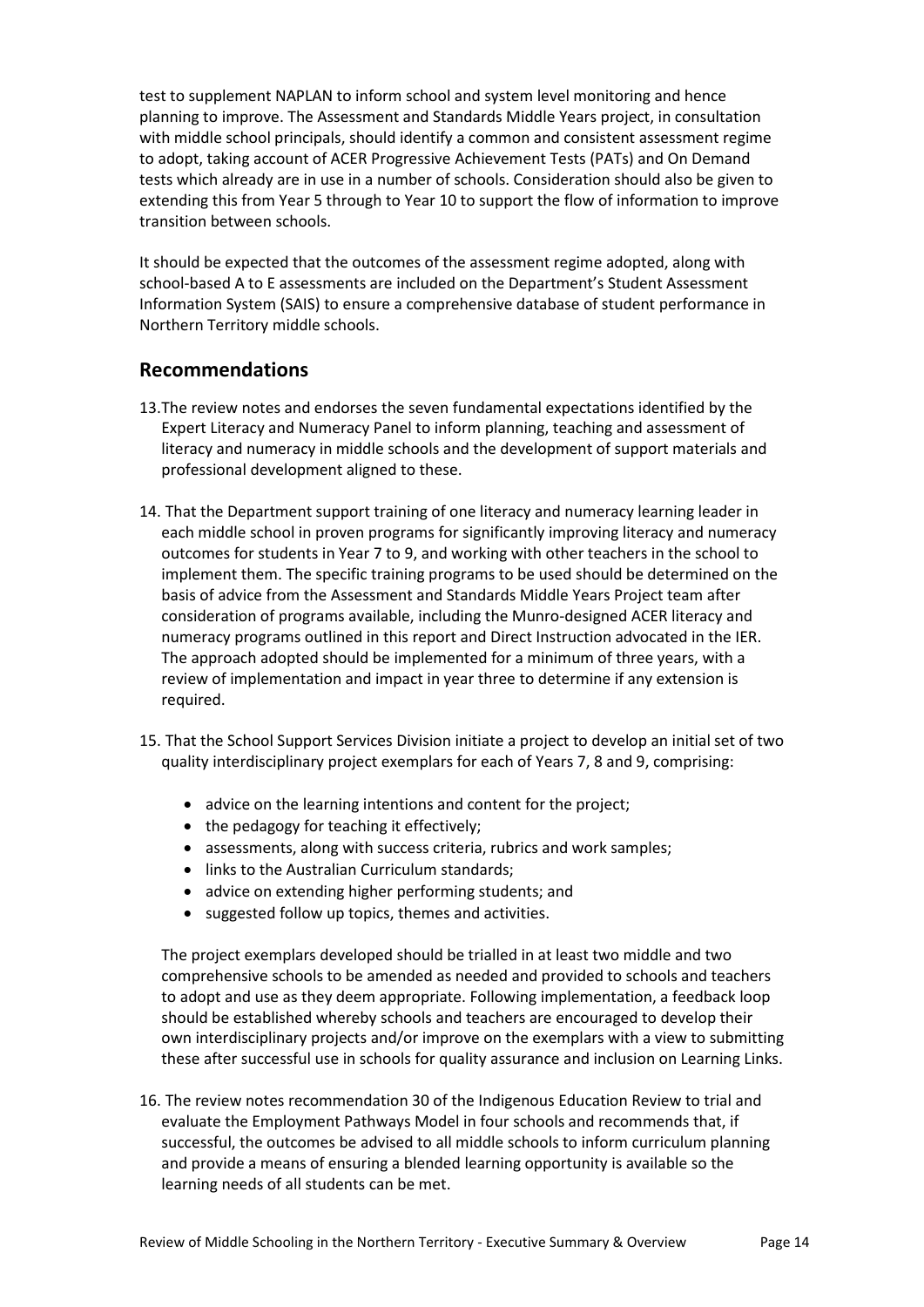test to supplement NAPLAN to inform school and system level monitoring and hence planning to improve. The Assessment and Standards Middle Years project, in consultation with middle school principals, should identify a common and consistent assessment regime to adopt, taking account of ACER Progressive Achievement Tests (PATs) and On Demand tests which already are in use in a number of schools. Consideration should also be given to extending this from Year 5 through to Year 10 to support the flow of information to improve transition between schools.

It should be expected that the outcomes of the assessment regime adopted, along with school-based A to E assessments are included on the Department's Student Assessment Information System (SAIS) to ensure a comprehensive database of student performance in Northern Territory middle schools.

### **Recommendations**

- 13.The review notes and endorses the seven fundamental expectations identified by the Expert Literacy and Numeracy Panel to inform planning, teaching and assessment of literacy and numeracy in middle schools and the development of support materials and professional development aligned to these.
- 14. That the Department support training of one literacy and numeracy learning leader in each middle school in proven programs for significantly improving literacy and numeracy outcomes for students in Year 7 to 9, and working with other teachers in the school to implement them. The specific training programs to be used should be determined on the basis of advice from the Assessment and Standards Middle Years Project team after consideration of programs available, including the Munro-designed ACER literacy and numeracy programs outlined in this report and Direct Instruction advocated in the IER. The approach adopted should be implemented for a minimum of three years, with a review of implementation and impact in year three to determine if any extension is required.
- 15. That the School Support Services Division initiate a project to develop an initial set of two quality interdisciplinary project exemplars for each of Years 7, 8 and 9, comprising:
	- advice on the learning intentions and content for the project;
	- the pedagogy for teaching it effectively;
	- assessments, along with success criteria, rubrics and work samples;
	- links to the Australian Curriculum standards;
	- advice on extending higher performing students; and
	- suggested follow up topics, themes and activities.

The project exemplars developed should be trialled in at least two middle and two comprehensive schools to be amended as needed and provided to schools and teachers to adopt and use as they deem appropriate. Following implementation, a feedback loop should be established whereby schools and teachers are encouraged to develop their own interdisciplinary projects and/or improve on the exemplars with a view to submitting these after successful use in schools for quality assurance and inclusion on Learning Links.

16. The review notes recommendation 30 of the Indigenous Education Review to trial and evaluate the Employment Pathways Model in four schools and recommends that, if successful, the outcomes be advised to all middle schools to inform curriculum planning and provide a means of ensuring a blended learning opportunity is available so the learning needs of all students can be met.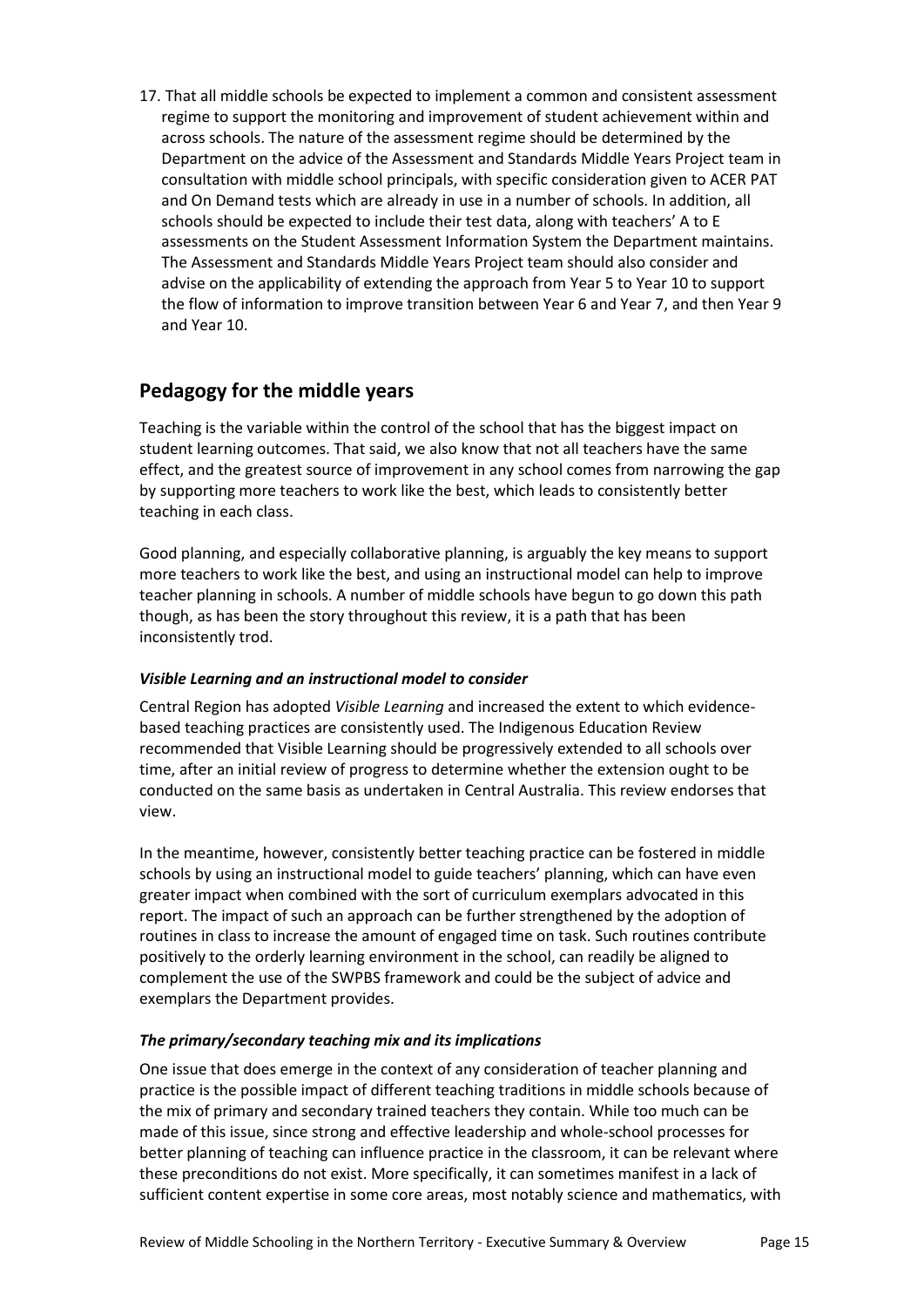17. That all middle schools be expected to implement a common and consistent assessment regime to support the monitoring and improvement of student achievement within and across schools. The nature of the assessment regime should be determined by the Department on the advice of the Assessment and Standards Middle Years Project team in consultation with middle school principals, with specific consideration given to ACER PAT and On Demand tests which are already in use in a number of schools. In addition, all schools should be expected to include their test data, along with teachers' A to E assessments on the Student Assessment Information System the Department maintains. The Assessment and Standards Middle Years Project team should also consider and advise on the applicability of extending the approach from Year 5 to Year 10 to support the flow of information to improve transition between Year 6 and Year 7, and then Year 9 and Year 10.

## **Pedagogy for the middle years**

Teaching is the variable within the control of the school that has the biggest impact on student learning outcomes. That said, we also know that not all teachers have the same effect, and the greatest source of improvement in any school comes from narrowing the gap by supporting more teachers to work like the best, which leads to consistently better teaching in each class.

Good planning, and especially collaborative planning, is arguably the key means to support more teachers to work like the best, and using an instructional model can help to improve teacher planning in schools. A number of middle schools have begun to go down this path though, as has been the story throughout this review, it is a path that has been inconsistently trod.

### *Visible Learning and an instructional model to consider*

Central Region has adopted *Visible Learning* and increased the extent to which evidencebased teaching practices are consistently used. The Indigenous Education Review recommended that Visible Learning should be progressively extended to all schools over time, after an initial review of progress to determine whether the extension ought to be conducted on the same basis as undertaken in Central Australia. This review endorses that view.

In the meantime, however, consistently better teaching practice can be fostered in middle schools by using an instructional model to guide teachers' planning, which can have even greater impact when combined with the sort of curriculum exemplars advocated in this report. The impact of such an approach can be further strengthened by the adoption of routines in class to increase the amount of engaged time on task. Such routines contribute positively to the orderly learning environment in the school, can readily be aligned to complement the use of the SWPBS framework and could be the subject of advice and exemplars the Department provides.

### *The primary/secondary teaching mix and its implications*

One issue that does emerge in the context of any consideration of teacher planning and practice is the possible impact of different teaching traditions in middle schools because of the mix of primary and secondary trained teachers they contain. While too much can be made of this issue, since strong and effective leadership and whole-school processes for better planning of teaching can influence practice in the classroom, it can be relevant where these preconditions do not exist. More specifically, it can sometimes manifest in a lack of sufficient content expertise in some core areas, most notably science and mathematics, with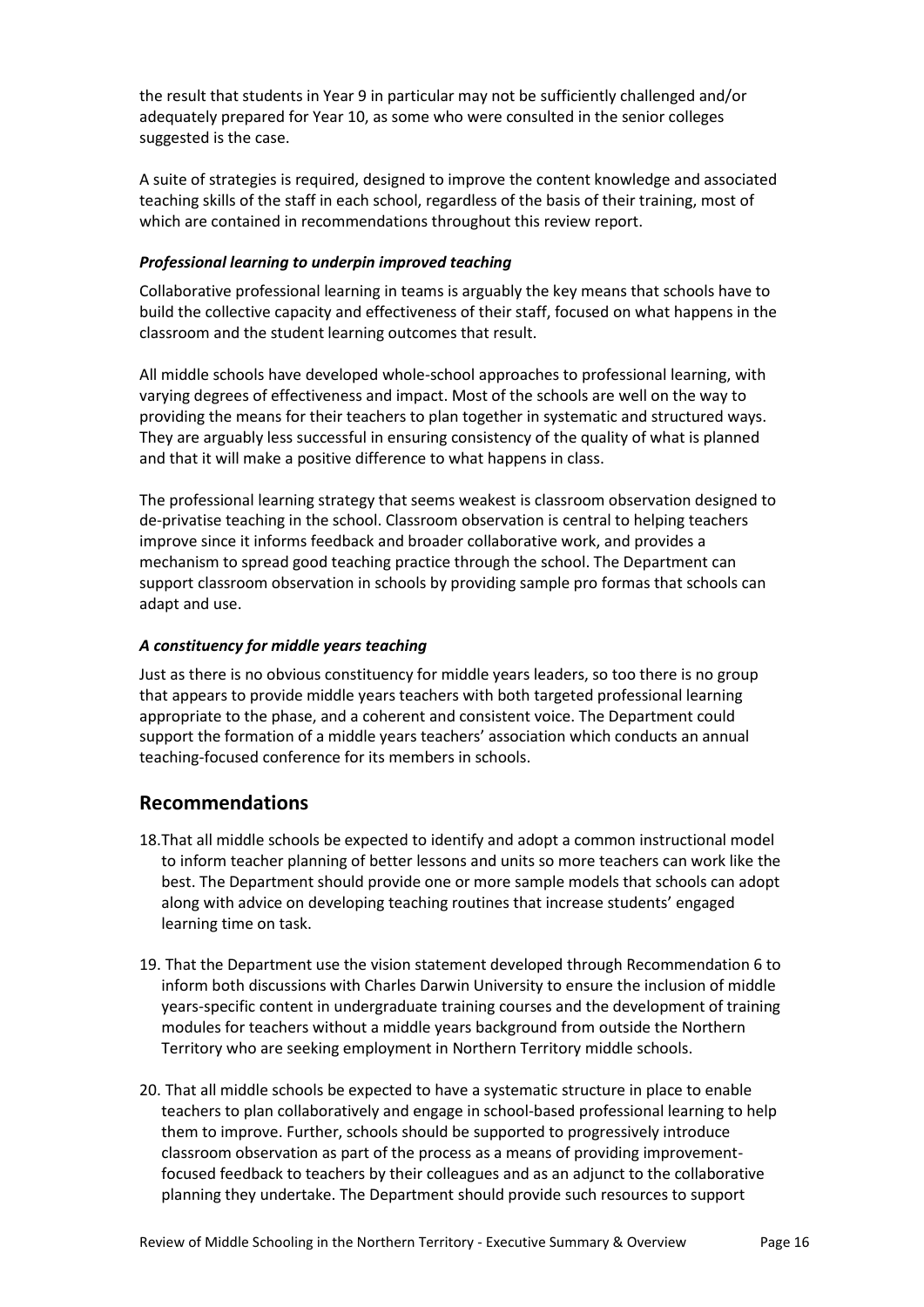the result that students in Year 9 in particular may not be sufficiently challenged and/or adequately prepared for Year 10, as some who were consulted in the senior colleges suggested is the case.

A suite of strategies is required, designed to improve the content knowledge and associated teaching skills of the staff in each school, regardless of the basis of their training, most of which are contained in recommendations throughout this review report.

#### *Professional learning to underpin improved teaching*

Collaborative professional learning in teams is arguably the key means that schools have to build the collective capacity and effectiveness of their staff, focused on what happens in the classroom and the student learning outcomes that result.

All middle schools have developed whole-school approaches to professional learning, with varying degrees of effectiveness and impact. Most of the schools are well on the way to providing the means for their teachers to plan together in systematic and structured ways. They are arguably less successful in ensuring consistency of the quality of what is planned and that it will make a positive difference to what happens in class.

The professional learning strategy that seems weakest is classroom observation designed to de-privatise teaching in the school. Classroom observation is central to helping teachers improve since it informs feedback and broader collaborative work, and provides a mechanism to spread good teaching practice through the school. The Department can support classroom observation in schools by providing sample pro formas that schools can adapt and use.

#### *A constituency for middle years teaching*

Just as there is no obvious constituency for middle years leaders, so too there is no group that appears to provide middle years teachers with both targeted professional learning appropriate to the phase, and a coherent and consistent voice. The Department could support the formation of a middle years teachers' association which conducts an annual teaching-focused conference for its members in schools.

### **Recommendations**

- 18.That all middle schools be expected to identify and adopt a common instructional model to inform teacher planning of better lessons and units so more teachers can work like the best. The Department should provide one or more sample models that schools can adopt along with advice on developing teaching routines that increase students' engaged learning time on task.
- 19. That the Department use the vision statement developed through Recommendation 6 to inform both discussions with Charles Darwin University to ensure the inclusion of middle years-specific content in undergraduate training courses and the development of training modules for teachers without a middle years background from outside the Northern Territory who are seeking employment in Northern Territory middle schools.
- 20. That all middle schools be expected to have a systematic structure in place to enable teachers to plan collaboratively and engage in school-based professional learning to help them to improve. Further, schools should be supported to progressively introduce classroom observation as part of the process as a means of providing improvementfocused feedback to teachers by their colleagues and as an adjunct to the collaborative planning they undertake. The Department should provide such resources to support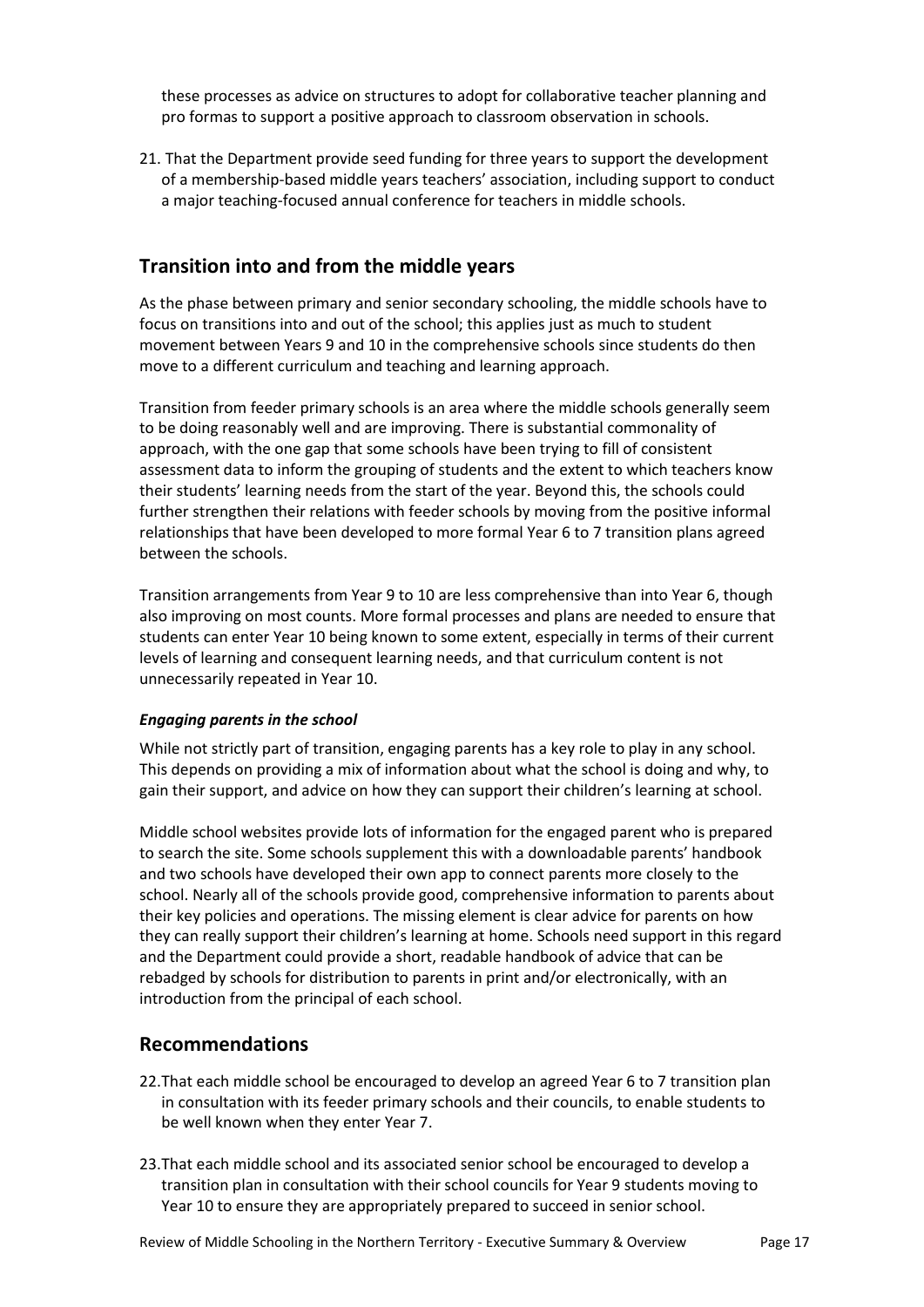these processes as advice on structures to adopt for collaborative teacher planning and pro formas to support a positive approach to classroom observation in schools.

21. That the Department provide seed funding for three years to support the development of a membership-based middle years teachers' association, including support to conduct a major teaching-focused annual conference for teachers in middle schools.

# **Transition into and from the middle years**

As the phase between primary and senior secondary schooling, the middle schools have to focus on transitions into and out of the school; this applies just as much to student movement between Years 9 and 10 in the comprehensive schools since students do then move to a different curriculum and teaching and learning approach.

Transition from feeder primary schools is an area where the middle schools generally seem to be doing reasonably well and are improving. There is substantial commonality of approach, with the one gap that some schools have been trying to fill of consistent assessment data to inform the grouping of students and the extent to which teachers know their students' learning needs from the start of the year. Beyond this, the schools could further strengthen their relations with feeder schools by moving from the positive informal relationships that have been developed to more formal Year 6 to 7 transition plans agreed between the schools.

Transition arrangements from Year 9 to 10 are less comprehensive than into Year 6, though also improving on most counts. More formal processes and plans are needed to ensure that students can enter Year 10 being known to some extent, especially in terms of their current levels of learning and consequent learning needs, and that curriculum content is not unnecessarily repeated in Year 10.

### *Engaging parents in the school*

While not strictly part of transition, engaging parents has a key role to play in any school. This depends on providing a mix of information about what the school is doing and why, to gain their support, and advice on how they can support their children's learning at school.

Middle school websites provide lots of information for the engaged parent who is prepared to search the site. Some schools supplement this with a downloadable parents' handbook and two schools have developed their own app to connect parents more closely to the school. Nearly all of the schools provide good, comprehensive information to parents about their key policies and operations. The missing element is clear advice for parents on how they can really support their children's learning at home. Schools need support in this regard and the Department could provide a short, readable handbook of advice that can be rebadged by schools for distribution to parents in print and/or electronically, with an introduction from the principal of each school.

### **Recommendations**

- 22.That each middle school be encouraged to develop an agreed Year 6 to 7 transition plan in consultation with its feeder primary schools and their councils, to enable students to be well known when they enter Year 7.
- 23.That each middle school and its associated senior school be encouraged to develop a transition plan in consultation with their school councils for Year 9 students moving to Year 10 to ensure they are appropriately prepared to succeed in senior school.